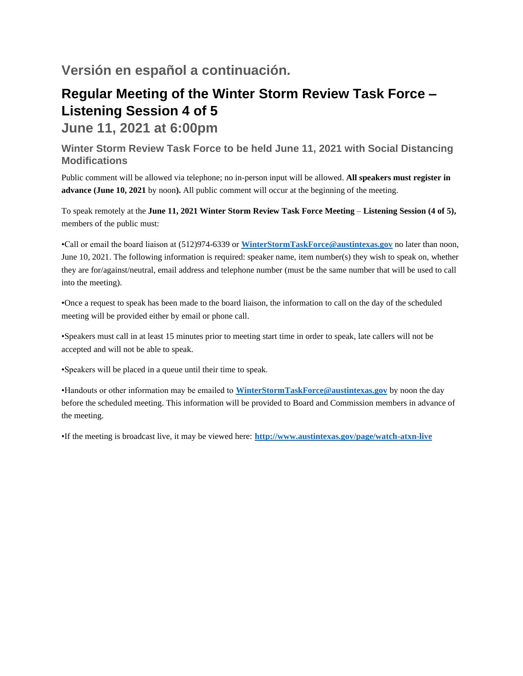## **Versión en español a continuación.**

## **Regular Meeting of the Winter Storm Review Task Force – Listening Session 4 of 5**

**June 11, 2021 at 6:00pm**

**Winter Storm Review Task Force to be held June 11, 2021 with Social Distancing Modifications**

Public comment will be allowed via telephone; no in-person input will be allowed. **All speakers must register in advance (June 10, 2021** by noon**).** All public comment will occur at the beginning of the meeting.

To speak remotely at the **June 11, 2021 Winter Storm Review Task Force Meeting** – **Listening Session (4 of 5),** members of the public must:

•Call or email the board liaison at (512)974-6339 or **[WinterStormTaskForce@austintexas.gov](mailto:WinterStormTaskForce@austintexas.gov)** no later than noon, June 10, 2021. The following information is required: speaker name, item number(s) they wish to speak on, whether they are for/against/neutral, email address and telephone number (must be the same number that will be used to call into the meeting).

•Once a request to speak has been made to the board liaison, the information to call on the day of the scheduled meeting will be provided either by email or phone call.

•Speakers must call in at least 15 minutes prior to meeting start time in order to speak, late callers will not be accepted and will not be able to speak.

•Speakers will be placed in a queue until their time to speak.

•Handouts or other information may be emailed to **[WinterStormTaskForce@austintexas.gov](mailto:WinterStormTaskForce@austintexas.gov)** by noon the day before the scheduled meeting. This information will be provided to Board and Commission members in advance of the meeting.

•If the meeting is broadcast live, it may be viewed here: **<http://www.austintexas.gov/page/watch-atxn-live>**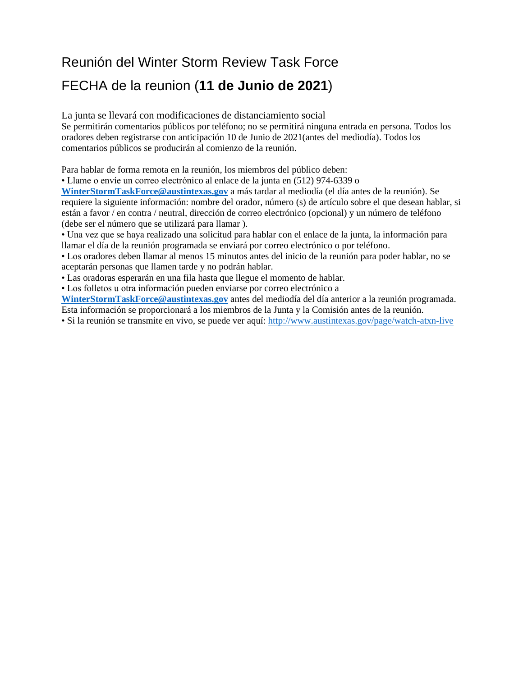# Reunión del Winter Storm Review Task Force FECHA de la reunion (**11 de Junio de 2021**)

La junta se llevará con modificaciones de distanciamiento social Se permitirán comentarios públicos por teléfono; no se permitirá ninguna entrada en persona. Todos los oradores deben registrarse con anticipación 10 de Junio de 2021(antes del mediodía). Todos los comentarios públicos se producirán al comienzo de la reunión.

Para hablar de forma remota en la reunión, los miembros del público deben:

• Llame o envíe un correo electrónico al enlace de la junta en (512) 974-6339 o

**[WinterStormTaskForce@austintexas.gov](mailto:WinterStormTaskForce@austintexas.gov)** a más tardar al mediodía (el día antes de la reunión). Se requiere la siguiente información: nombre del orador, número (s) de artículo sobre el que desean hablar, si están a favor / en contra / neutral, dirección de correo electrónico (opcional) y un número de teléfono (debe ser el número que se utilizará para llamar ).

• Una vez que se haya realizado una solicitud para hablar con el enlace de la junta, la información para llamar el día de la reunión programada se enviará por correo electrónico o por teléfono.

• Los oradores deben llamar al menos 15 minutos antes del inicio de la reunión para poder hablar, no se aceptarán personas que llamen tarde y no podrán hablar.

• Las oradoras esperarán en una fila hasta que llegue el momento de hablar.

• Los folletos u otra información pueden enviarse por correo electrónico a

**[WinterStormTaskForce@austintexas.gov](mailto:WinterStormTaskForce@austintexas.gov)** antes del mediodía del día anterior a la reunión programada. Esta información se proporcionará a los miembros de la Junta y la Comisión antes de la reunión.

• Si la reunión se transmite en vivo, se puede ver aquí: <http://www.austintexas.gov/page/watch-atxn-live>